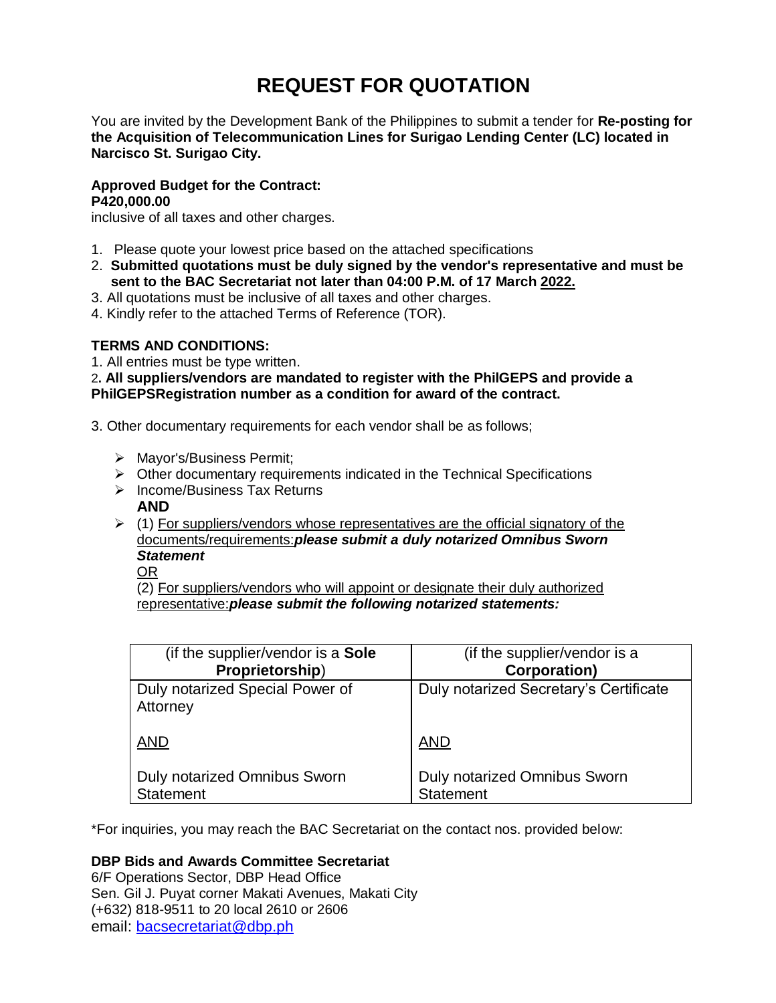# **REQUEST FOR QUOTATION**

You are invited by the Development Bank of the Philippines to submit a tender for **Re-posting for the Acquisition of Telecommunication Lines for Surigao Lending Center (LC) located in Narcisco St. Surigao City.**

## **Approved Budget for the Contract: P420,000.00**

inclusive of all taxes and other charges.

- 1. Please quote your lowest price based on the attached specifications
- 2. **Submitted quotations must be duly signed by the vendor's representative and must be sent to the BAC Secretariat not later than 04:00 P.M. of 17 March 2022.**
- 3. All quotations must be inclusive of all taxes and other charges.
- 4. Kindly refer to the attached Terms of Reference (TOR).

# **TERMS AND CONDITIONS:**

1. All entries must be type written.

2**. All suppliers/vendors are mandated to register with the PhilGEPS and provide a PhilGEPSRegistration number as a condition for award of the contract.**

- 3. Other documentary requirements for each vendor shall be as follows;
	- > Mayor's/Business Permit;
	- $\triangleright$  Other documentary requirements indicated in the Technical Specifications
	- > Income/Business Tax Returns
		- **AND**
	- $\geq$  (1) For suppliers/vendors whose representatives are the official signatory of the documents/requirements:*please submit a duly notarized Omnibus Sworn Statement*
		- OR

(2) For suppliers/vendors who will appoint or designate their duly authorized representative:*please submit the following notarized statements:*

| (if the supplier/vendor is a Sole           | (if the supplier/vendor is a           |
|---------------------------------------------|----------------------------------------|
| Proprietorship)                             | <b>Corporation)</b>                    |
| Duly notarized Special Power of<br>Attorney | Duly notarized Secretary's Certificate |
| <b>AND</b>                                  | <b>AND</b>                             |
| <b>Duly notarized Omnibus Sworn</b>         | <b>Duly notarized Omnibus Sworn</b>    |
| <b>Statement</b>                            | <b>Statement</b>                       |

\*For inquiries, you may reach the BAC Secretariat on the contact nos. provided below:

# **DBP Bids and Awards Committee Secretariat**

6/F Operations Sector, DBP Head Office Sen. Gil J. Puyat corner Makati Avenues, Makati City (+632) 818-9511 to 20 local 2610 or 2606 email: [bacsecretariat@dbp.ph](mailto:bacsecretariat@dbp.ph)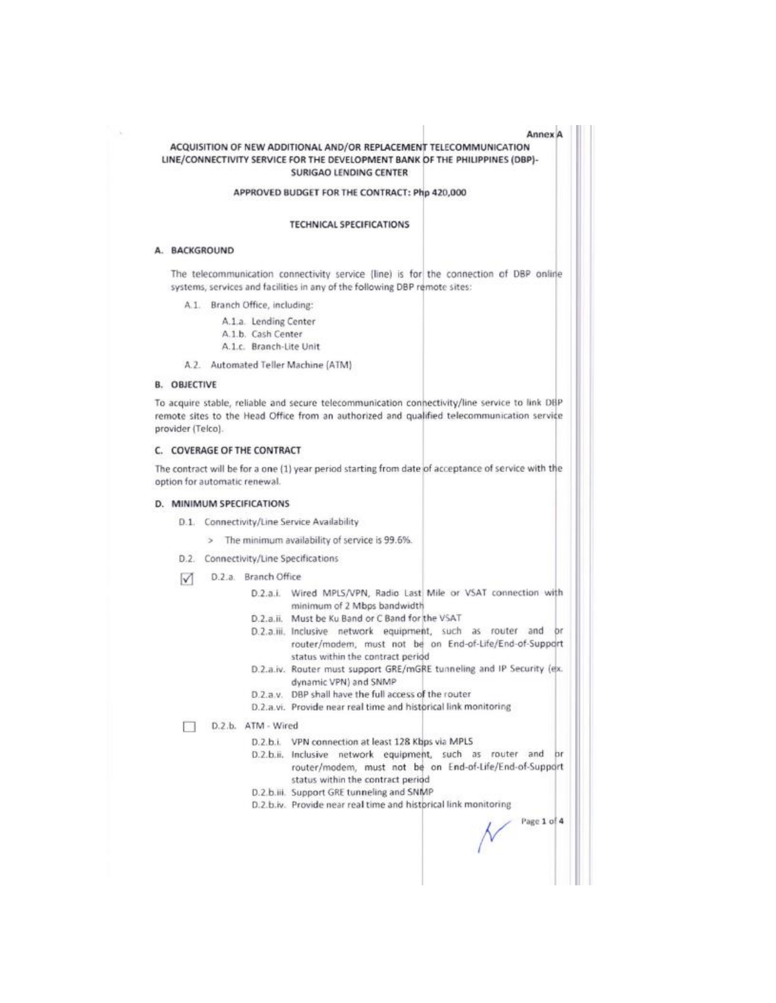| Annex A<br>ACQUISITION OF NEW ADDITIONAL AND/OR REPLACEMENT TELECOMMUNICATION<br>LINE/CONNECTIVITY SERVICE FOR THE DEVELOPMENT BANK OF THE PHILIPPINES (DBP)-<br><b>SURIGAO LENDING CENTER</b>                    |
|-------------------------------------------------------------------------------------------------------------------------------------------------------------------------------------------------------------------|
| APPROVED BUDGET FOR THE CONTRACT: Php 420,000                                                                                                                                                                     |
| <b>TECHNICAL SPECIFICATIONS</b>                                                                                                                                                                                   |
| A. BACKGROUND                                                                                                                                                                                                     |
| The telecommunication connectivity service (line) is for the connection of DBP online<br>systems, services and facilities in any of the following DBP remote sites:                                               |
| A.1. Branch Office, including:                                                                                                                                                                                    |
| A.1.a. Lending Center                                                                                                                                                                                             |
| A.1.b. Cash Center                                                                                                                                                                                                |
| A.1.c. Branch-Lite Unit                                                                                                                                                                                           |
| A.2. Automated Teller Machine (ATM)                                                                                                                                                                               |
| <b>B. OBJECTIVE</b>                                                                                                                                                                                               |
| To acquire stable, reliable and secure telecommunication connectivity/line service to link DBP<br>remote sites to the Head Office from an authorized and qualified telecommunication service<br>provider (Telco). |
| C. COVERAGE OF THE CONTRACT                                                                                                                                                                                       |
| The contract will be for a one (1) year period starting from date of acceptance of service with the<br>option for automatic renewal.                                                                              |
| D. MINIMUM SPECIFICATIONS                                                                                                                                                                                         |
| D.1. Connectivity/Line Service Availability                                                                                                                                                                       |
| > The minimum availability of service is 99.6%.                                                                                                                                                                   |
|                                                                                                                                                                                                                   |
| D.2. Connectivity/Line Specifications                                                                                                                                                                             |
| D.2.a. Branch Office<br>M                                                                                                                                                                                         |
| D.2.a.i. Wired MPLS/VPN, Radio Last Mile or VSAT connection with<br>minimum of 2 Mbps bandwidth                                                                                                                   |
| D.2.a.ii. Must be Ku Band or C Band for the VSAT                                                                                                                                                                  |
| D.2.a.iii. Inclusive network equipment, such as router and or<br>router/modem, must not be on End-of-Life/End-of-Support                                                                                          |
| status within the contract period<br>D.2.a.iv. Router must support GRE/mGRE tunneling and IP Security (ex.<br>dynamic VPN) and SNMP                                                                               |
| D.2.a.v. DBP shall have the full access of the router                                                                                                                                                             |
| D.2.a.vi. Provide near real time and historical link monitoring                                                                                                                                                   |
| D.2.b. ATM - Wired                                                                                                                                                                                                |
| D.2.b.i. VPN connection at least 128 Kbps via MPLS                                                                                                                                                                |
| D.2.b.ii. Inclusive network equipment, such as router and br<br>router/modem, must not be on End-of-Life/End-of-Support<br>status within the contract period                                                      |
| D.2.b.iii. Support GRE tunneling and SNMP                                                                                                                                                                         |
| D.2.b.iv. Provide near real time and historical link monitoring<br>Page 1 of 4                                                                                                                                    |
|                                                                                                                                                                                                                   |

Ш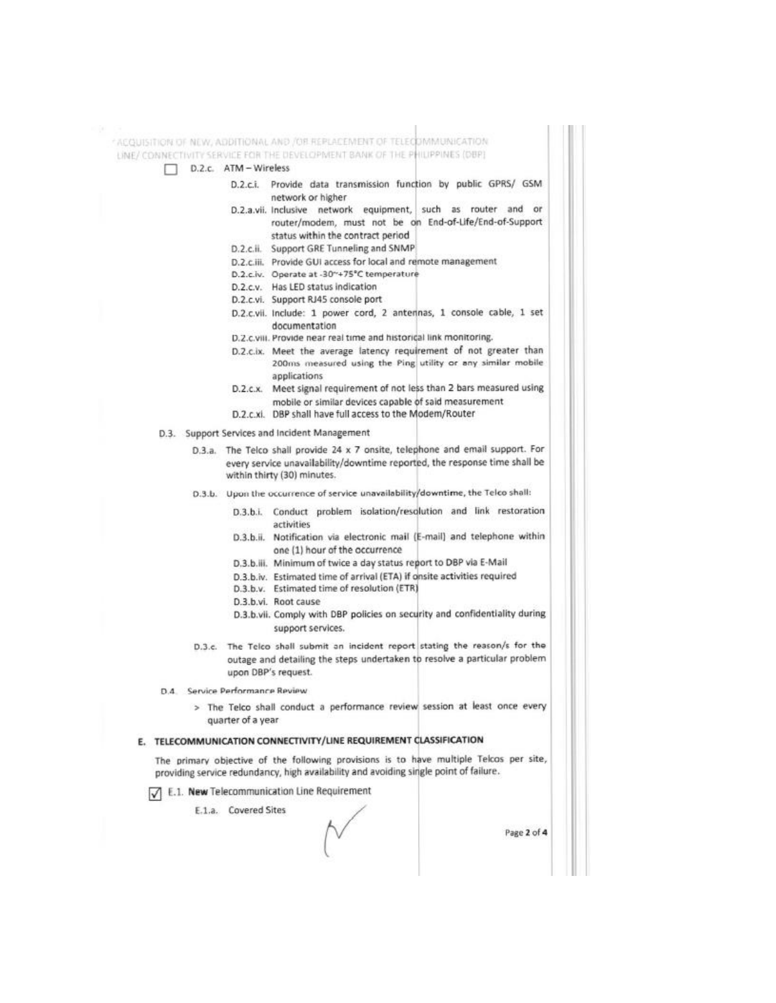ACQUISITION OF NEW, ADDITIONAL AND /OR REPLACEMENT OF TELECOMMUNICATION LINE/ CONNECTIVITY SERVICE FOR THE DEVELOPMENT BANK OF THE PHILIPPINES (DBP) D.2.c. ATM - Wireless D.2.c.i. Provide data transmission function by public GPRS/ GSM network or higher D.2.a.vii. Inclusive network equipment, such as router and or router/modem, must not be on End-of-Life/End-of-Support status within the contract period D.2.c.ii. Support GRE Tunneling and SNMP D.2.c.iii. Provide GUI access for local and remote management D.2.c.iv. Operate at -30~+75°C temperature D.2.c.v. Has LED status indication D.2.c.vi. Support RJ45 console port D.2.c.vii. Include: 1 power cord, 2 antennas, 1 console cable, 1 set documentation D.2.c.viii. Provide near real time and historical link monitoring. D.2.c.ix. Meet the average latency requirement of not greater than 200ms measured using the Ping utility or any similar mobile applications  $D.2.c.x.$ Meet signal requirement of not less than 2 bars measured using mobile or similar devices capable of said measurement D.2.c.xi. DBP shall have full access to the Modem/Router D.3. Support Services and Incident Management D.3.a. The Telco shall provide 24 x 7 onsite, telephone and email support. For every service unavailability/downtime reported, the response time shall be within thirty (30) minutes. D.3.b. Upon the occurrence of service unavailability/downtime, the Telco shall: D.3.b.i. Conduct problem isolation/resolution and link restoration activities D.3.b.ii. Notification via electronic mail (E-mail) and telephone within one (1) hour of the occurrence D.3.b.iii. Minimum of twice a day status report to DBP via E-Mail D.3.b.iv. Estimated time of arrival (ETA) if onsite activities required D.3.b.v. Estimated time of resolution (ETR) D.3.b.vi. Root cause D.3.b.vii. Comply with DBP policies on security and confidentiality during support services. D.3.c. The Telco shall submit an incident report stating the reason/s for the outage and detailing the steps undertaken to resolve a particular problem upon DBP's request. D.4. Service Performance Review > The Telco shall conduct a performance review session at least once every quarter of a year E. TELECOMMUNICATION CONNECTIVITY/LINE REQUIREMENT CLASSIFICATION The primary objective of the following provisions is to have multiple Telcos per site, providing service redundancy, high availability and avoiding single point of failure. T E.1. New Telecommunication Line Requirement E.1.a. Covered Sites Page 2 of 4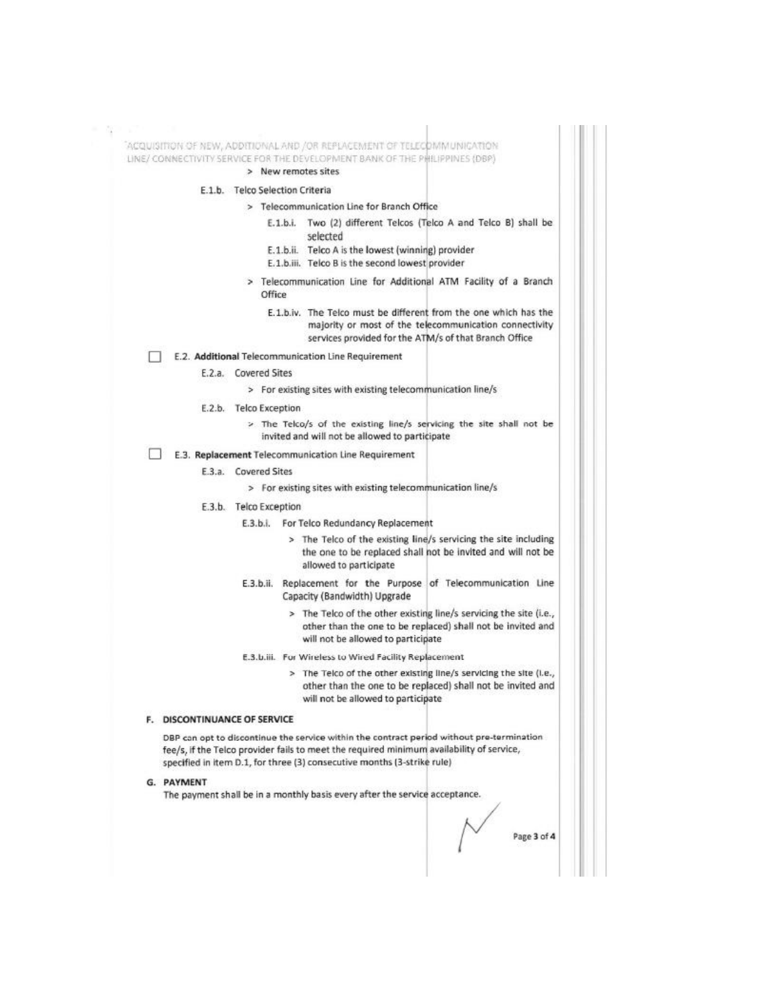|                                     |                                 | LINE/ CONNECTIVITY SERVICE FOR THE DEVELOPMENT BANK OF THE PHILIPPINES (DBP)<br>> New remotes sites                                                                                                                                                              |
|-------------------------------------|---------------------------------|------------------------------------------------------------------------------------------------------------------------------------------------------------------------------------------------------------------------------------------------------------------|
|                                     | E.1.b. Telco Selection Criteria |                                                                                                                                                                                                                                                                  |
|                                     |                                 | > Telecommunication Line for Branch Office                                                                                                                                                                                                                       |
|                                     |                                 | E.1.b.i. Two (2) different Telcos (Telco A and Telco B) shall be<br>selected<br>E.1.b.ii. Telco A is the lowest (winning) provider                                                                                                                               |
|                                     |                                 | E.1.b.iii. Telco B is the second lowest provider                                                                                                                                                                                                                 |
|                                     | Office                          | > Telecommunication Line for Additional ATM Facility of a Branch                                                                                                                                                                                                 |
|                                     |                                 | E.1.b.iv. The Telco must be different from the one which has the<br>majority or most of the telecommunication connectivity<br>services provided for the ATM/s of that Branch Office                                                                              |
|                                     |                                 | E.2. Additional Telecommunication Line Requirement                                                                                                                                                                                                               |
|                                     | E.2.a. Covered Sites            |                                                                                                                                                                                                                                                                  |
|                                     |                                 | > For existing sites with existing telecommunication line/s                                                                                                                                                                                                      |
|                                     | E.2.b. Telco Exception          |                                                                                                                                                                                                                                                                  |
|                                     |                                 | > The Telco/s of the existing line/s servicing the site shall not be<br>invited and will not be allowed to participate                                                                                                                                           |
|                                     |                                 | E.3. Replacement Telecommunication Line Requirement                                                                                                                                                                                                              |
|                                     | E.3.a. Covered Sites            |                                                                                                                                                                                                                                                                  |
|                                     |                                 | > For existing sites with existing telecommunication line/s                                                                                                                                                                                                      |
|                                     | E.3.b. Telco Exception          |                                                                                                                                                                                                                                                                  |
|                                     |                                 | E.3.b.i. For Telco Redundancy Replacement                                                                                                                                                                                                                        |
|                                     |                                 | > The Telco of the existing line/s servicing the site including<br>the one to be replaced shall not be invited and will not be<br>allowed to participate                                                                                                         |
|                                     |                                 | E.3.b.ii. Replacement for the Purpose of Telecommunication Line<br>Capacity (Bandwidth) Upgrade                                                                                                                                                                  |
|                                     |                                 | > The Telco of the other existing line/s servicing the site (i.e.,<br>other than the one to be replaced) shall not be invited and<br>will not be allowed to participate                                                                                          |
|                                     |                                 | E.3.b.iii. For Wireless to Wired Facility Replacement                                                                                                                                                                                                            |
|                                     |                                 | > The Telco of the other existing line/s servicing the site (i.e.,<br>other than the one to be replaced) shall not be invited and<br>will not be allowed to participate                                                                                          |
| <b>F. DISCONTINUANCE OF SERVICE</b> |                                 |                                                                                                                                                                                                                                                                  |
|                                     |                                 | DBP can opt to discontinue the service within the contract period without pre-termination<br>fee/s, if the Telco provider fails to meet the required minimum availability of service,<br>specified in item D.1, for three (3) consecutive months (3-strike rule) |
| G. PAYMENT                          |                                 | The payment shall be in a monthly basis every after the service acceptance.                                                                                                                                                                                      |